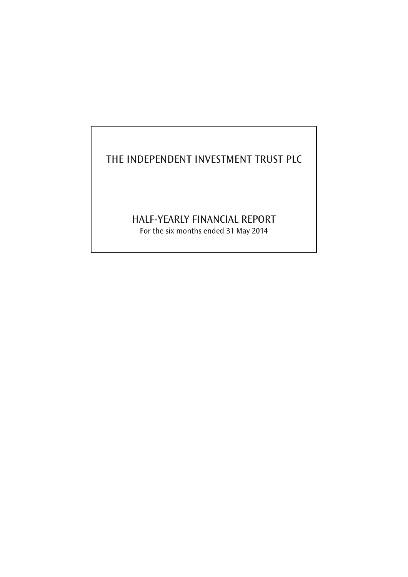# THE INDEPENDENT INVESTMENT TRUST PLC

# HALF-YEARLY FINANCIAL REPORT

For the six months ended 31 May 2014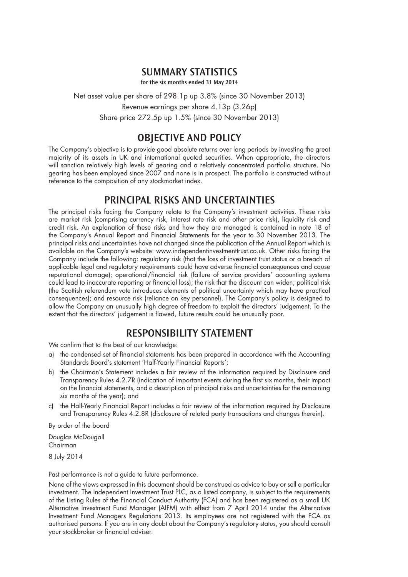### **SUMMARY STATISTICS**

**for the six months ended 31 May 2014** 

Net asset value per share of 298.1p up 3.8% (since 30 November 2013) Revenue earnings per share 4.13p (3.26p) Share price 272.5p up 1.5% (since 30 November 2013)

## **OBJECTIVE AND POLICY**

The Company's objective is to provide good absolute returns over long periods by investing the great majority of its assets in UK and international quoted securities. When appropriate, the directors will sanction relatively high levels of gearing and a relatively concentrated portfolio structure. No gearing has been employed since 2007 and none is in prospect. The portfolio is constructed without reference to the composition of any stockmarket index.

## **PRINCIPAL RISKS AND UNCERTAINTIES**

The principal risks facing the Company relate to the Company's investment activities. These risks are market risk (comprising currency risk, interest rate risk and other price risk), liquidity risk and credit risk. An explanation of these risks and how they are managed is contained in note 18 of the Company's Annual Report and Financial Statements for the year to 30 November 2013. The principal risks and uncertainties have not changed since the publication of the Annual Report which is available on the Company's website: www.independentinvestmenttrust.co.uk. Other risks facing the Company include the following: regulatory risk (that the loss of investment trust status or a breach of applicable legal and regulatory requirements could have adverse financial consequences and cause reputational damage); operational/financial risk (failure of service providers' accounting systems could lead to inaccurate reporting or financial loss); the risk that the discount can widen; political risk (the Scottish referendum vote introduces elements of political uncertainty which may have practical consequences); and resource risk (reliance on key personnel). The Company's policy is designed to allow the Company an unusually high degree of freedom to exploit the directors' judgement. To the extent that the directors' judgement is flawed, future results could be unusually poor.

# **RESPONSIBILITY STATEMENT**

We confirm that to the best of our knowledge:

- a) the condensed set of financial statements has been prepared in accordance with the Accounting Standards Board's statement 'Half-Yearly Financial Reports';
- b) the Chairman's Statement includes a fair review of the information required by Disclosure and Transparency Rules 4.2.7R (indication of important events during the first six months, their impact on the financial statements, and a description of principal risks and uncertainties for the remaining six months of the year); and
- c) the Half-Yearly Financial Report includes a fair review of the information required by Disclosure and Transparency Rules 4.2.8R (disclosure of related party transactions and changes therein).

By order of the board

Douglas McDougall Chairman

8 July 2014

Past performance is not a guide to future performance.

None of the views expressed in this document should be construed as advice to buy or sell a particular investment. The Independent Investment Trust PLC, as a listed company, is subject to the requirements of the Listing Rules of the Financial Conduct Authority (FCA) and has been registered as a small UK Alternative Investment Fund Manager (AIFM) with effect from 7 April 2014 under the Alternative Investment Fund Managers Regulations 2013. Its employees are not registered with the FCA as authorised persons. If you are in any doubt about the Company's regulatory status, you should consult your stockbroker or financial adviser.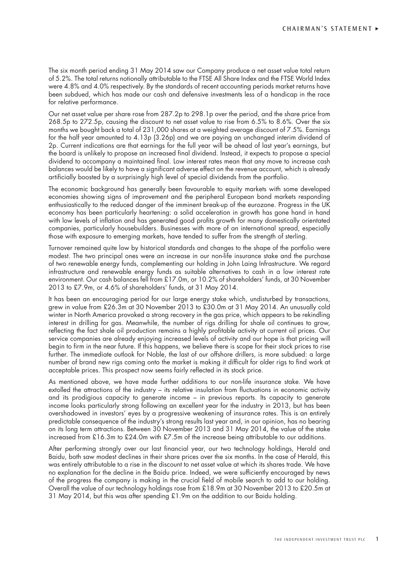The six month period ending 31 May 2014 saw our Company produce a net asset value total return of 5.2%. The total returns notionally attributable to the FTSE All Share Index and the FTSE World Index were 4.8% and 4.0% respectively. By the standards of recent accounting periods market returns have been subdued, which has made our cash and defensive investments less of a handicap in the race for relative performance.

Our net asset value per share rose from 287.2p to 298.1p over the period, and the share price from 268.5p to 272.5p, causing the discount to net asset value to rise from 6.5% to 8.6%. Over the six months we bought back a total of 231,000 shares at a weighted average discount of 7.5%. Earnings for the half year amounted to 4.13p (3.26p) and we are paying an unchanged interim dividend of 2p. Current indications are that earnings for the full year will be ahead of last year's earnings, but the board is unlikely to propose an increased final dividend. Instead, it expects to propose a special dividend to accompany a maintained final. Low interest rates mean that any move to increase cash balances would be likely to have a significant adverse effect on the revenue account, which is already artificially boosted by a surprisingly high level of special dividends from the portfolio.

The economic background has generally been favourable to equity markets with some developed economies showing signs of improvement and the peripheral European bond markets responding enthusiastically to the reduced danger of the imminent break-up of the eurozone. Progress in the UK economy has been particularly heartening: a solid acceleration in growth has gone hand in hand with low levels of inflation and has generated good profits growth for many domestically orientated companies, particularly housebuilders. Businesses with more of an international spread, especially those with exposure to emerging markets, have tended to suffer from the strength of sterling.

Turnover remained quite low by historical standards and changes to the shape of the portfolio were modest. The two principal ones were an increase in our non-life insurance stake and the purchase of two renewable energy funds, complementing our holding in John Laing Infrastructure. We regard infrastructure and renewable energy funds as suitable alternatives to cash in a low interest rate environment. Our cash balances fell from £17.0m, or 10.2% of shareholders' funds, at 30 November 2013 to £7.9m, or 4.6% of shareholders' funds, at 31 May 2014.

It has been an encouraging period for our large energy stake which, undisturbed by transactions, grew in value from £26.3m at 30 November 2013 to £30.0m at 31 May 2014. An unusually cold winter in North America provoked a strong recovery in the gas price, which appears to be rekindling interest in drilling for gas. Meanwhile, the number of rigs drilling for shale oil continues to grow, reflecting the fact shale oil production remains a highly profitable activity at current oil prices. Our service companies are already enjoying increased levels of activity and our hope is that pricing will begin to firm in the near future. If this happens, we believe there is scope for their stock prices to rise further. The immediate outlook for Noble, the last of our offshore drillers, is more subdued: a large number of brand new rigs coming onto the market is making it difficult for older rigs to find work at acceptable prices. This prospect now seems fairly reflected in its stock price.

As mentioned above, we have made further additions to our non-life insurance stake. We have extolled the attractions of the industry – its relative insulation from fluctuations in economic activity and its prodigious capacity to generate income – in previous reports. Its capacity to generate income looks particularly strong following an excellent year for the industry in 2013, but has been overshadowed in investors' eyes by a progressive weakening of insurance rates. This is an entirely predictable consequence of the industry's strong results last year and, in our opinion, has no bearing on its long term attractions. Between 30 November 2013 and 31 May 2014, the value of the stake increased from £16.3m to £24.0m with £7.5m of the increase being attributable to our additions.

After performing strongly over our last financial year, our two technology holdings, Herald and Baidu, both saw modest declines in their share prices over the six months. In the case of Herald, this was entirely attributable to a rise in the discount to net asset value at which its shares trade. We have no explanation for the decline in the Baidu price. Indeed, we were sufficiently encouraged by news of the progress the company is making in the crucial field of mobile search to add to our holding. Overall the value of our technology holdings rose from £18.9m at 30 November 2013 to £20.5m at 31 May 2014, but this was after spending £1.9m on the addition to our Baidu holding.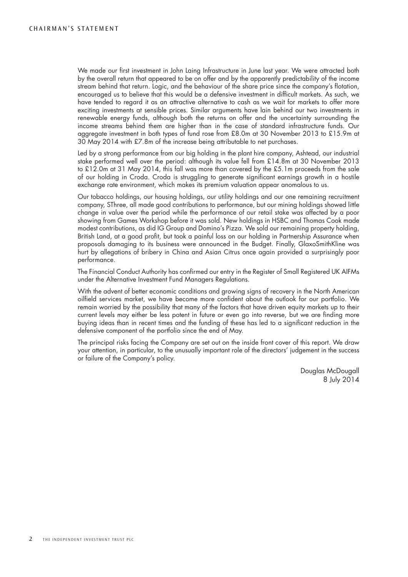We made our first investment in John Laing Infrastructure in June last year. We were attracted both by the overall return that appeared to be on offer and by the apparently predictability of the income stream behind that return. Logic, and the behaviour of the share price since the company's flotation, encouraged us to believe that this would be a defensive investment in difficult markets. As such, we have tended to regard it as an attractive alternative to cash as we wait for markets to offer more exciting investments at sensible prices. Similar arguments have lain behind our two investments in renewable energy funds, although both the returns on offer and the uncertainty surrounding the income streams behind them are higher than in the case of standard infrastructure funds. Our aggregate investment in both types of fund rose from £8.0m at 30 November 2013 to £15.9m at 30 May 2014 with £7.8m of the increase being attributable to net purchases.

Led by a strong performance from our big holding in the plant hire company, Ashtead, our industrial stake performed well over the period: although its value fell from £14.8m at 30 November 2013 to £12.0m at 31 May 2014, this fall was more than covered by the £5.1m proceeds from the sale of our holding in Croda. Croda is struggling to generate significant earnings growth in a hostile exchange rate environment, which makes its premium valuation appear anomalous to us.

Our tobacco holdings, our housing holdings, our utility holdings and our one remaining recruitment company, SThree, all made good contributions to performance, but our mining holdings showed little change in value over the period while the performance of our retail stake was affected by a poor showing from Games Workshop before it was sold. New holdings in HSBC and Thomas Cook made modest contributions, as did IG Group and Domino's Pizza. We sold our remaining property holding, British Land, at a good profit, but took a painful loss on our holding in Partnership Assurance when proposals damaging to its business were announced in the Budget. Finally, GlaxoSmithKline was hurt by allegations of bribery in China and Asian Citrus once again provided a surprisingly poor performance.

The Financial Conduct Authority has confirmed our entry in the Register of Small Registered UK AIFMs under the Alternative Investment Fund Managers Regulations.

With the advent of better economic conditions and growing signs of recovery in the North American oilfield services market, we have become more confident about the outlook for our portfolio. We remain worried by the possibility that many of the factors that have driven equity markets up to their current levels may either be less potent in future or even go into reverse, but we are finding more buying ideas than in recent times and the funding of these has led to a significant reduction in the defensive component of the portfolio since the end of May.

The principal risks facing the Company are set out on the inside front cover of this report. We draw your attention, in particular, to the unusually important role of the directors' judgement in the success or failure of the Company's policy.

> Douglas McDougall 8 July 2014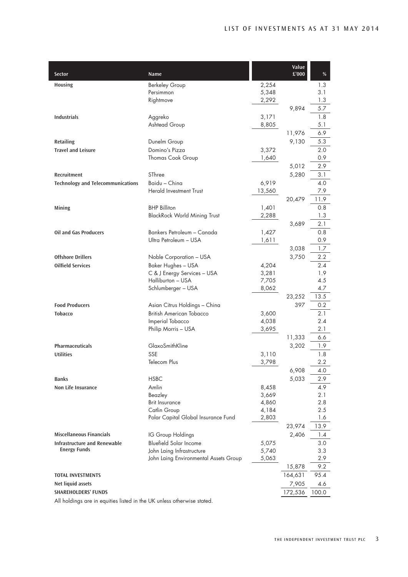| Sector                                                                 | Name                                               |                | Value<br>£'000 | %           |
|------------------------------------------------------------------------|----------------------------------------------------|----------------|----------------|-------------|
| <b>Housing</b>                                                         |                                                    | 2,254          |                | 1.3         |
|                                                                        | <b>Berkeley Group</b><br>Persimmon                 | 5,348          |                | 3.1         |
|                                                                        | Rightmove                                          | 2,292          |                | 1.3         |
|                                                                        |                                                    |                | 9,894          | 5.7         |
| <b>Industrials</b>                                                     | Aggreko                                            | 3,171          |                | 1.8         |
|                                                                        | Ashtead Group                                      | 8,805          |                | 5.1         |
|                                                                        |                                                    |                | 11,976         | 6.9         |
| <b>Retailing</b>                                                       | Dunelm Group                                       |                | 9,130          | 5.3         |
| <b>Travel and Leisure</b>                                              | Domino's Pizza                                     | 3,372          |                | 2.0         |
|                                                                        | Thomas Cook Group                                  | 1,640          |                | 0.9         |
|                                                                        |                                                    |                | 5,012          | 2.9         |
| Recruitment                                                            | SThree                                             |                | 5,280          | 3.1         |
| <b>Technology and Telecommunications</b>                               | Baidu - China<br><b>Herald Investment Trust</b>    | 6,919          |                | 4.0         |
|                                                                        |                                                    | 13,560         |                | 7.9         |
|                                                                        | <b>BHP Billiton</b>                                |                | 20,479         | 11.9<br>0.8 |
| Mining                                                                 | <b>BlackRock World Mining Trust</b>                | 1,401<br>2,288 |                | 1.3         |
|                                                                        |                                                    |                | 3,689          | 2.1         |
| <b>Oil and Gas Producers</b>                                           | Bankers Petroleum - Canada                         | 1,427          |                | 0.8         |
|                                                                        | Ultra Petroleum - USA                              | 1,611          |                | 0.9         |
|                                                                        |                                                    |                | 3,038          | 1.7         |
| <b>Offshore Drillers</b>                                               | Noble Corporation - USA                            |                | 3,750          | 2.2         |
| <b>Oilfield Services</b>                                               | <b>Baker Hughes - USA</b>                          | 4,204          |                | 2.4         |
|                                                                        | C & J Energy Services - USA                        | 3,281          |                | 1.9         |
|                                                                        | Halliburton - USA                                  | 7,705          |                | 4.5         |
|                                                                        | Schlumberger - USA                                 | 8,062          |                | 4.7         |
|                                                                        |                                                    |                | 23,252         | 13.5        |
| <b>Food Producers</b>                                                  | Asian Citrus Holdings - China                      |                | 397            | 0.2         |
| <b>Tobacco</b>                                                         | <b>British American Tobacco</b>                    | 3,600          |                | 2.1<br>2.4  |
|                                                                        | Imperial Tobacco<br>Philip Morris - USA            | 4,038<br>3,695 |                | 2.1         |
|                                                                        |                                                    |                | 11,333         | 6.6         |
| Pharmaceuticals                                                        | GlaxoSmithKline                                    |                | 3,202          | 1.9         |
| <b>Utilities</b>                                                       | <b>SSE</b>                                         | 3,110          |                | 1.8         |
|                                                                        | Telecom Plus                                       | 3,798          |                | 2.2         |
|                                                                        |                                                    |                | 6,908          | 4.0         |
| <b>Banks</b>                                                           | <b>HSBC</b>                                        |                | 5,033          | 2.9         |
| Non Life Insurance                                                     | Amlin                                              | 8,458          |                | 4.9         |
|                                                                        | Beazley                                            | 3,669          |                | 2.1         |
|                                                                        | <b>Brit Insurance</b>                              | 4,860          |                | 2.8         |
|                                                                        | Catlin Group                                       | 4,184          |                | 2.5         |
|                                                                        | Polar Capital Global Insurance Fund                | 2,803          |                | 1.6         |
|                                                                        |                                                    |                | 23,974         | 13.9        |
| <b>Miscellaneous Financials</b><br><b>Infrastructure and Renewable</b> | IG Group Holdings<br><b>Bluefield Solar Income</b> |                | 2,406          | 1.4         |
| <b>Energy Funds</b>                                                    | John Laing Infrastructure                          | 5,075<br>5,740 |                | 3.0<br>3.3  |
|                                                                        | John Laing Environmental Assets Group              | 5,063          |                | 2.9         |
|                                                                        |                                                    |                | 15,878         | 9.2         |
| <b>TOTAL INVESTMENTS</b>                                               |                                                    |                | 164,631        | 95.4        |
| Net liquid assets                                                      |                                                    |                | 7,905          | 4.6         |
| <b>SHAREHOLDERS' FUNDS</b>                                             |                                                    |                | 172,536        | 100.0       |
| All holdings are in equities listed in the UK unless otherwise stated. |                                                    |                |                |             |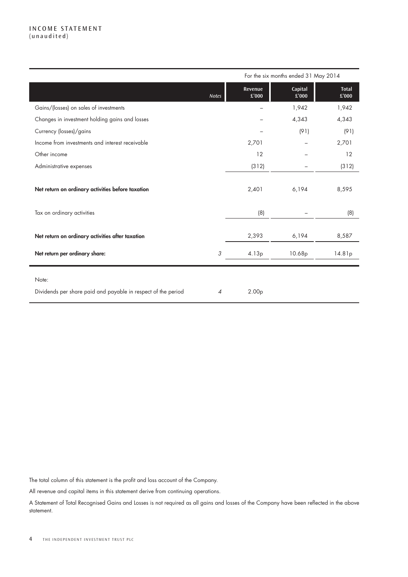#### INCOME STATEMENT (unaudited)

|                                                                                    |                | For the six months ended 31 May 2014 |                  |                       |  |
|------------------------------------------------------------------------------------|----------------|--------------------------------------|------------------|-----------------------|--|
|                                                                                    | <b>Notes</b>   | Revenue<br>£'000                     | Capital<br>£'000 | <b>Total</b><br>£'000 |  |
| Gains/(losses) on sales of investments                                             |                |                                      | 1,942            | 1,942                 |  |
| Changes in investment holding gains and losses                                     |                |                                      | 4,343            | 4,343                 |  |
| Currency (losses)/gains                                                            |                |                                      | (91)             | (91)                  |  |
| Income from investments and interest receivable                                    |                | 2,701                                |                  | 2,701                 |  |
| Other income                                                                       |                | 12                                   |                  | 12                    |  |
| Administrative expenses                                                            |                | (312)                                |                  | (312)                 |  |
| Net return on ordinary activities before taxation                                  |                | 2,401                                | 6,194            | 8,595                 |  |
| Tax on ordinary activities                                                         |                | (8)                                  |                  | (8)                   |  |
| Net return on ordinary activities after taxation<br>Net return per ordinary share: | 3              | 2,393<br>4.13p                       | 6,194<br>10.68p  | 8,587<br>14.81p       |  |
| Note:<br>Dividends per share paid and payable in respect of the period             | $\overline{4}$ | 2.00 <sub>p</sub>                    |                  |                       |  |

The total column of this statement is the profit and loss account of the Company.

All revenue and capital items in this statement derive from continuing operations.

A Statement of Total Recognised Gains and Losses is not required as all gains and losses of the Company have been reflected in the above statement.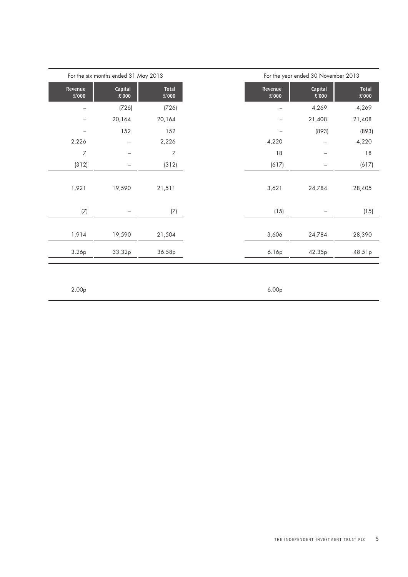|                          |                                      |                               |                  | For the year ended 30 November 2013 |                               |  |  |  |
|--------------------------|--------------------------------------|-------------------------------|------------------|-------------------------------------|-------------------------------|--|--|--|
|                          | For the six months ended 31 May 2013 |                               |                  |                                     |                               |  |  |  |
| Revenue<br>$\pounds'000$ | Capital<br>$\pounds'000$             | <b>Total</b><br>$\pounds'000$ | Revenue<br>£'000 | Capital<br>$\pounds'000$            | <b>Total</b><br>$\pounds'000$ |  |  |  |
|                          | (726)                                | (726)                         |                  | 4,269                               | 4,269                         |  |  |  |
|                          | 20,164                               | 20,164                        |                  | 21,408                              | 21,408                        |  |  |  |
|                          | 152                                  | 152                           |                  | (893)                               | (893)                         |  |  |  |
| 2,226                    |                                      | 2,226                         | 4,220            |                                     | 4,220                         |  |  |  |
| $\overline{7}$           | $\overline{\phantom{0}}$             | 7                             | 18               |                                     | 18                            |  |  |  |
| (312)                    | -                                    | (312)                         | (617)            |                                     | (617)                         |  |  |  |
|                          |                                      |                               |                  |                                     |                               |  |  |  |
| 1,921                    | 19,590                               | 21,511                        | 3,621            | 24,784                              | 28,405                        |  |  |  |
|                          |                                      |                               |                  |                                     |                               |  |  |  |
| (7)                      | -                                    | (7)                           | (15)             |                                     | (15)                          |  |  |  |
|                          |                                      |                               |                  |                                     |                               |  |  |  |
| 1,914                    | 19,590                               | 21,504                        | 3,606            | 24,784                              | 28,390                        |  |  |  |
| 3.26p                    | 33.32p                               | 36.58p                        | 6.16p            | 42.35p                              | 48.51p                        |  |  |  |
|                          |                                      |                               |                  |                                     |                               |  |  |  |
|                          |                                      |                               |                  |                                     |                               |  |  |  |
|                          |                                      |                               |                  |                                     |                               |  |  |  |
| 2.00 <sub>p</sub>        |                                      |                               | 6.00p            |                                     |                               |  |  |  |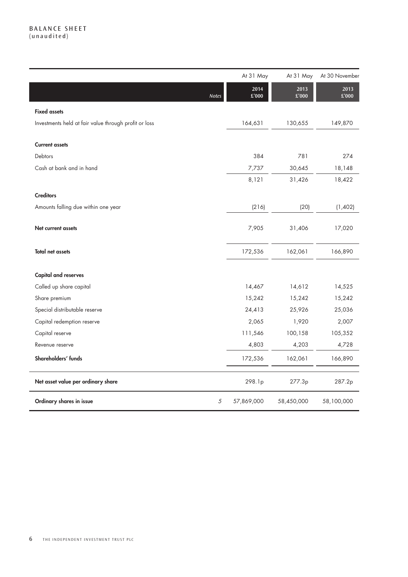### BALANCE SHEET (unaudited)

|                                                       | At 31 May       | At 31 May              | At 30 November |
|-------------------------------------------------------|-----------------|------------------------|----------------|
| Notes                                                 | 2014<br>£'000   | 2013<br>$\pounds$ '000 | 2013<br>£'000  |
| <b>Fixed assets</b>                                   |                 |                        |                |
| Investments held at fair value through profit or loss | 164,631         | 130,655                | 149,870        |
| <b>Current assets</b>                                 |                 |                        |                |
| Debtors                                               | 384             | 781                    | 274            |
| Cash at bank and in hand                              | 7,737           | 30,645                 | 18,148         |
|                                                       | 8,121           | 31,426                 | 18,422         |
| <b>Creditors</b>                                      |                 |                        |                |
| Amounts falling due within one year                   | (216)           | (20)                   | (1,402)        |
| Net current assets                                    | 7,905           | 31,406                 | 17,020         |
| <b>Total net assets</b>                               | 172,536         | 162,061                | 166,890        |
| <b>Capital and reserves</b>                           |                 |                        |                |
| Called up share capital                               | 14,467          | 14,612                 | 14,525         |
| Share premium                                         | 15,242          | 15,242                 | 15,242         |
| Special distributable reserve                         | 24,413          | 25,926                 | 25,036         |
| Capital redemption reserve                            | 2,065           | 1,920                  | 2,007          |
| Capital reserve                                       | 111,546         | 100,158                | 105,352        |
| Revenue reserve                                       | 4,803           | 4,203                  | 4,728          |
| Shareholders' funds                                   | 172,536         | 162,061                | 166,890        |
| Net asset value per ordinary share                    | 298.1p          | 277.3p                 | 287.2p         |
| Ordinary shares in issue                              | 5<br>57,869,000 | 58,450,000             | 58,100,000     |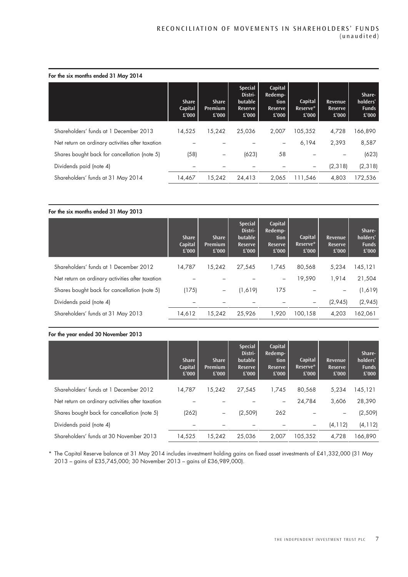|  |  |  | For the six months ended 31 May 2014 |  |  |  |  |
|--|--|--|--------------------------------------|--|--|--|--|
|--|--|--|--------------------------------------|--|--|--|--|

| <b>Share</b><br>Capital<br>£'000 | <b>Share</b><br><b>Premium</b><br>£'000 | <b>Special</b><br>Distri-<br>butable<br>Reserve<br>£'000 | Capital<br>Redemp-<br>tion<br><b>Reserve</b><br>£'000 | Capital<br>Reserve*<br>£'000 | Revenue<br>Reserve<br>£'000 | Share-<br>holders'<br><b>Funds</b><br>£'000 |
|----------------------------------|-----------------------------------------|----------------------------------------------------------|-------------------------------------------------------|------------------------------|-----------------------------|---------------------------------------------|
| 14.525                           | 15,242                                  | 25,036                                                   | 2.007                                                 | 105,352                      | 4,728                       | 166,890                                     |
|                                  |                                         |                                                          |                                                       | 6,194                        | 2,393                       | 8,587                                       |
| (58)                             | $\overline{\phantom{m}}$                | (623)                                                    | 58                                                    |                              |                             | (623)                                       |
|                                  |                                         |                                                          |                                                       | -                            | (2, 318)                    | (2, 318)                                    |
| 14,467                           | 15,242                                  | 24,413                                                   | 2,065                                                 | 111,546                      | 4,803                       | 172,536                                     |
|                                  |                                         |                                                          |                                                       |                              |                             |                                             |

| For the six months ended 31 May 2013 |                                  |                                                          |                                                       |                              |                                    |                                             |  |  |
|--------------------------------------|----------------------------------|----------------------------------------------------------|-------------------------------------------------------|------------------------------|------------------------------------|---------------------------------------------|--|--|
| <b>Share</b><br>Capital<br>£'000     | <b>Share</b><br>Premium<br>£'000 | <b>Special</b><br>Distri-<br>butable<br>Reserve<br>£'000 | Capital<br>Redemp-<br>tion<br><b>Reserve</b><br>£'000 | Capital<br>Reserve*<br>£'000 | Revenue<br><b>Reserve</b><br>£'000 | Share-<br>holders'<br><b>Funds</b><br>£'000 |  |  |
| 14.787                               | 15.242                           | 27,545                                                   | 1.745                                                 | 80.568                       | 5,234                              | 145,121                                     |  |  |
|                                      |                                  |                                                          |                                                       | 19,590                       | 1,914                              | 21,504                                      |  |  |
| (175)                                | -                                | (1,619)                                                  | 175                                                   |                              |                                    | (1,619)                                     |  |  |
|                                      |                                  |                                                          |                                                       |                              | (2,945)                            | (2,945)                                     |  |  |
| 14,612                               | 15,242                           | 25,926                                                   | 1,920                                                 | 100,158                      | 4,203                              | 162,061                                     |  |  |
|                                      |                                  |                                                          |                                                       |                              |                                    |                                             |  |  |

#### For the year ended 30 November 2013

|                                                  | <b>Share</b><br>Capital<br>£'000 | <b>Share</b><br><b>Premium</b><br>£'000 | <b>Special</b><br>Distri-<br>butable<br>Reserve<br>£'000 | Capital<br>Redemp-<br>tion<br><b>Reserve</b><br>£'000 | Capital<br>Reserve*<br>£'000 | <b>Revenue</b><br><b>Reserve</b><br>£'000 | Share-<br>holders'<br><b>Funds</b><br>£'000 |
|--------------------------------------------------|----------------------------------|-----------------------------------------|----------------------------------------------------------|-------------------------------------------------------|------------------------------|-------------------------------------------|---------------------------------------------|
| Shareholders' funds at 1 December 2012           | 14.787                           | 15.242                                  | 27,545                                                   | 1.745                                                 | 80,568                       | 5,234                                     | 145,121                                     |
| Net return on ordinary activities after taxation |                                  |                                         |                                                          | $\overline{\phantom{0}}$                              | 24,784                       | 3,606                                     | 28,390                                      |
| Shares bought back for cancellation (note 5)     | (262)                            | $\qquad \qquad -$                       | (2,509)                                                  | 262                                                   |                              |                                           | (2,509)                                     |
| Dividends paid (note 4)                          |                                  |                                         |                                                          |                                                       | -                            | (4, 112)                                  | (4, 112)                                    |
| Shareholders' funds at 30 November 2013          | 14,525                           | 15.242                                  | 25,036                                                   | 2,007                                                 | 105,352                      | 4,728                                     | 166,890                                     |
|                                                  |                                  |                                         |                                                          |                                                       |                              |                                           |                                             |

\* The Capital Reserve balance at 31 May 2014 includes investment holding gains on fixed asset investments of £41,332,000 (31 May 2013 – gains of £35,745,000; 30 November 2013 – gains of £36,989,000).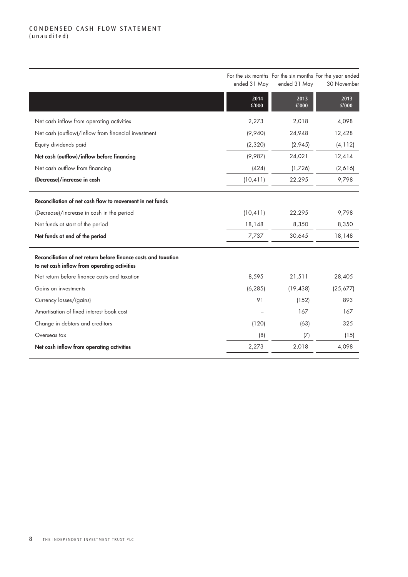### CONDENSED CASH FLOW STATEMENT (unaudited)

|                                                                                                                | ended 31 May  | For the six months For the six months For the year ended<br>ended 31 May | 30 November   |
|----------------------------------------------------------------------------------------------------------------|---------------|--------------------------------------------------------------------------|---------------|
|                                                                                                                | 2014<br>£'000 | 2013<br>£'000                                                            | 2013<br>£'000 |
| Net cash inflow from operating activities                                                                      | 2,273         | 2,018                                                                    | 4,098         |
| Net cash (outflow)/inflow from financial investment                                                            | (9,940)       | 24,948                                                                   | 12,428        |
| Equity dividends paid                                                                                          | (2, 320)      | (2,945)                                                                  | (4, 112)      |
| Net cash (outflow)/inflow before financing                                                                     | (9,987)       | 24,021                                                                   | 12,414        |
| Net cash outflow from financing                                                                                | (424)         | (1,726)                                                                  | (2,616)       |
| (Decrease)/increase in cash                                                                                    | (10, 411)     | 22,295                                                                   | 9,798         |
| Reconciliation of net cash flow to movement in net funds                                                       |               |                                                                          |               |
| (Decrease)/increase in cash in the period                                                                      | (10, 411)     | 22,295                                                                   | 9,798         |
| Net funds at start of the period                                                                               | 18,148        | 8,350                                                                    | 8,350         |
| Net funds at end of the period                                                                                 | 7,737         | 30,645                                                                   | 18,148        |
| Reconciliation of net return before finance costs and taxation<br>to net cash inflow from operating activities |               |                                                                          |               |
| Net return before finance costs and taxation                                                                   | 8,595         | 21,511                                                                   | 28,405        |
| Gains on investments                                                                                           | (6, 285)      | (19, 438)                                                                | (25,677)      |
| Currency losses/(gains)                                                                                        | 91            | (152)                                                                    | 893           |
| Amortisation of fixed interest book cost                                                                       |               | 167                                                                      | 167           |
| Change in debtors and creditors                                                                                | (120)         | (63)                                                                     | 325           |
| Overseas tax                                                                                                   | (8)           | (7)                                                                      | (15)          |
| Net cash inflow from operating activities                                                                      | 2,273         | 2,018                                                                    | 4,098         |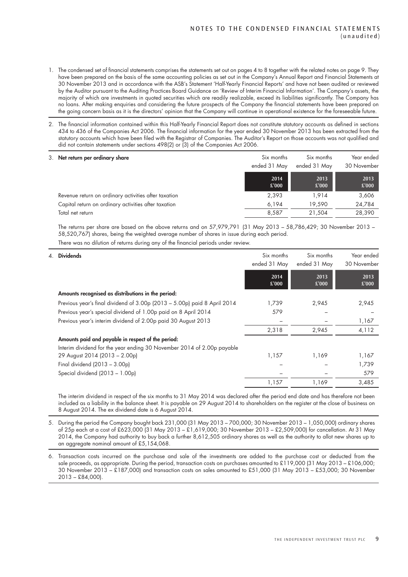- 1. The condensed set of financial statements comprises the statements set out on pages 4 to 8 together with the related notes on page 9. They have been prepared on the basis of the same accounting policies as set out in the Company's Annual Report and Financial Statements at 30 November 2013 and in accordance with the ASB's Statement 'Half-Yearly Financial Reports' and have not been audited or reviewed by the Auditor pursuant to the Auditing Practices Board Guidance on 'Review of Interim Financial Information'. The Company's assets, the majority of which are investments in quoted securities which are readily realizable, exceed its liabilities significantly. The Company has no loans. After making enquiries and considering the future prospects of the Company the financial statements have been prepared on the going concern basis as it is the directors' opinion that the Company will continue in operational existence for the foreseeable future.
- 2. The financial information contained within this Half-Yearly Financial Report does not constitute statutory accounts as defined in sections 434 to 436 of the Companies Act 2006. The financial information for the year ended 30 November 2013 has been extracted from the statutory accounts which have been filed with the Registrar of Companies. The Auditor's Report on those accounts was not qualified and did not contain statements under sections 498(2) or (3) of the Companies Act 2006.

| 3. Net return per ordinary share                     | Six months<br>ended 31 May | Six months<br>ended 31 May | Year ended<br>30 November |
|------------------------------------------------------|----------------------------|----------------------------|---------------------------|
|                                                      | 2014<br>£'000              | 2013<br>£'000              | 2013<br>£'000             |
| Revenue return on ordinary activities after taxation | 2,393                      | 1.914                      | 3,606                     |
| Capital return on ordinary activities after taxation | 6.194                      | 19.590                     | 24,784                    |
| Total net return                                     | 8.587                      | 21.504                     | 28,390                    |

The returns per share are based on the above returns and on 57,979,791 (31 May 2013 – 58,786,429; 30 November 2013 – 58,520,767) shares, being the weighted average number of shares in issue during each period.

There was no dilution of returns during any of the financial periods under review.

| 4. Dividends                                                             | Six months<br>ended 31 May | Six months<br>ended 31 May | Year ended<br>30 November |
|--------------------------------------------------------------------------|----------------------------|----------------------------|---------------------------|
|                                                                          | 2014<br>£'000              | 2013<br>£'000              | 2013<br>£'000             |
| Amounts recognised as distributions in the period:                       |                            |                            |                           |
| Previous year's final dividend of 3.00p (2013 – 5.00p) paid 8 April 2014 | 1,739                      | 2,945                      | 2,945                     |
| Previous year's special dividend of 1.00p paid on 8 April 2014           | 579                        |                            |                           |
| Previous year's interim dividend of 2.00p paid 30 August 2013            |                            |                            | 1,167                     |
|                                                                          | 2,318                      | 2,945                      | 4,112                     |
| Amounts paid and payable in respect of the period:                       |                            |                            |                           |
| Interim dividend for the year ending 30 November 2014 of 2.00p payable   |                            |                            |                           |
| 29 August 2014 (2013 - 2.00p)                                            | 1,157                      | 1,169                      | 1,167                     |
| Final dividend $(2013 - 3.00p)$                                          |                            |                            | 1,739                     |
| Special dividend (2013 - 1.00p)                                          |                            |                            | 579                       |
|                                                                          | 1,157                      | 1,169                      | 3,485                     |

The interim dividend in respect of the six months to 31 May 2014 was declared after the period end date and has therefore not been included as a liability in the balance sheet. It is payable on 29 August 2014 to shareholders on the register at the close of business on 8 August 2014. The ex dividend date is 6 August 2014.

- 5. During the period the Company bought back 231,000 (31 May 2013 700,000; 30 November 2013 1,050,000) ordinary shares of 25p each at a cost of £623,000 (31 May 2013 – £1,619,000; 30 November 2013 – £2,509,000) for cancellation. At 31 May 2014, the Company had authority to buy back a further 8,612,505 ordinary shares as well as the authority to allot new shares up to an aggregate nominal amount of £5,154,068.
- 6. Transaction costs incurred on the purchase and sale of the investments are added to the purchase cost or deducted from the sale proceeds, as appropriate. During the period, transaction costs on purchases amounted to £119,000 (31 May 2013 – £106,000; 30 November 2013 – £187,000) and transaction costs on sales amounted to £51,000 (31 May 2013 – £53,000; 30 November 2013 – £84,000).